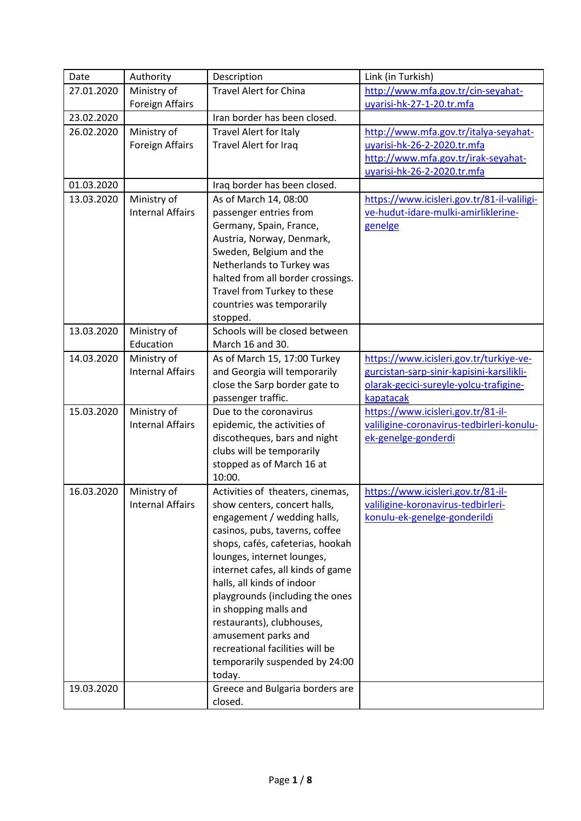| Date       | Authority               | Description                                            | Link (in Turkish)                           |
|------------|-------------------------|--------------------------------------------------------|---------------------------------------------|
| 27.01.2020 | Ministry of             | <b>Travel Alert for China</b>                          | http://www.mfa.gov.tr/cin-seyahat-          |
|            | <b>Foreign Affairs</b>  |                                                        | uyarisi-hk-27-1-20.tr.mfa                   |
| 23.02.2020 |                         | Iran border has been closed.                           |                                             |
| 26.02.2020 | Ministry of             | <b>Travel Alert for Italy</b>                          | http://www.mfa.gov.tr/italya-seyahat-       |
|            | <b>Foreign Affairs</b>  | Travel Alert for Iraq                                  | uyarisi-hk-26-2-2020.tr.mfa                 |
|            |                         |                                                        | http://www.mfa.gov.tr/irak-seyahat-         |
|            |                         |                                                        | uyarisi-hk-26-2-2020.tr.mfa                 |
| 01.03.2020 |                         | Iraq border has been closed.                           |                                             |
| 13.03.2020 | Ministry of             | As of March 14, 08:00                                  | https://www.icisleri.gov.tr/81-il-valiligi- |
|            | <b>Internal Affairs</b> | passenger entries from                                 | ve-hudut-idare-mulki-amirliklerine-         |
|            |                         | Germany, Spain, France,                                | genelge                                     |
|            |                         | Austria, Norway, Denmark,                              |                                             |
|            |                         | Sweden, Belgium and the                                |                                             |
|            |                         | Netherlands to Turkey was                              |                                             |
|            |                         | halted from all border crossings.                      |                                             |
|            |                         | Travel from Turkey to these                            |                                             |
|            |                         | countries was temporarily                              |                                             |
|            |                         | stopped.                                               |                                             |
| 13.03.2020 | Ministry of             | Schools will be closed between                         |                                             |
|            | Education               | March 16 and 30.                                       |                                             |
| 14.03.2020 | Ministry of             | As of March 15, 17:00 Turkey                           | https://www.icisleri.gov.tr/turkiye-ve-     |
|            | <b>Internal Affairs</b> | and Georgia will temporarily                           | gurcistan-sarp-sinir-kapisini-karsilikli-   |
|            |                         | close the Sarp border gate to                          | olarak-gecici-sureyle-yolcu-trafigine-      |
|            |                         | passenger traffic.                                     | kapatacak                                   |
| 15.03.2020 | Ministry of             | Due to the coronavirus                                 | https://www.icisleri.gov.tr/81-il-          |
|            | <b>Internal Affairs</b> | epidemic, the activities of                            | valiligine-coronavirus-tedbirleri-konulu-   |
|            |                         | discotheques, bars and night                           | ek-genelge-gonderdi                         |
|            |                         | clubs will be temporarily                              |                                             |
|            |                         | stopped as of March 16 at                              |                                             |
|            |                         | 10:00.                                                 |                                             |
| 16.03.2020 | Ministry of             | Activities of theaters, cinemas,                       | https://www.icisleri.gov.tr/81-il-          |
|            | <b>Internal Affairs</b> | show centers, concert halls,                           | valiligine-koronavirus-tedbirleri-          |
|            |                         | engagement / wedding halls,                            | konulu-ek-genelge-gonderildi                |
|            |                         | casinos, pubs, taverns, coffee                         |                                             |
|            |                         | shops, cafés, cafeterias, hookah                       |                                             |
|            |                         | lounges, internet lounges,                             |                                             |
|            |                         | internet cafes, all kinds of game                      |                                             |
|            |                         | halls, all kinds of indoor                             |                                             |
|            |                         | playgrounds (including the ones                        |                                             |
|            |                         | in shopping malls and                                  |                                             |
|            |                         | restaurants), clubhouses,                              |                                             |
|            |                         | amusement parks and<br>recreational facilities will be |                                             |
|            |                         | temporarily suspended by 24:00                         |                                             |
|            |                         | today.                                                 |                                             |
| 19.03.2020 |                         | Greece and Bulgaria borders are                        |                                             |
|            |                         | closed.                                                |                                             |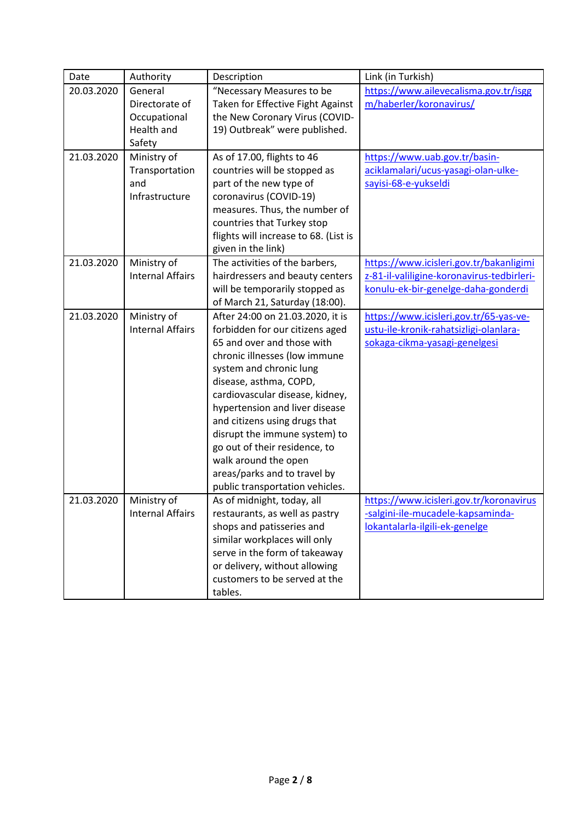| Date       | Authority                                                         | Description                                                                                                                                                                                                                                                                                                                                                                                                                                                | Link (in Turkish)                                                                                                            |
|------------|-------------------------------------------------------------------|------------------------------------------------------------------------------------------------------------------------------------------------------------------------------------------------------------------------------------------------------------------------------------------------------------------------------------------------------------------------------------------------------------------------------------------------------------|------------------------------------------------------------------------------------------------------------------------------|
| 20.03.2020 | General<br>Directorate of<br>Occupational<br>Health and<br>Safety | "Necessary Measures to be<br>Taken for Effective Fight Against<br>the New Coronary Virus (COVID-<br>19) Outbreak" were published.                                                                                                                                                                                                                                                                                                                          | https://www.ailevecalisma.gov.tr/isgg<br>m/haberler/koronavirus/                                                             |
| 21.03.2020 | Ministry of<br>Transportation<br>and<br>Infrastructure            | As of 17.00, flights to 46<br>countries will be stopped as<br>part of the new type of<br>coronavirus (COVID-19)<br>measures. Thus, the number of<br>countries that Turkey stop<br>flights will increase to 68. (List is<br>given in the link)                                                                                                                                                                                                              | https://www.uab.gov.tr/basin-<br>aciklamalari/ucus-yasagi-olan-ulke-<br>sayisi-68-e-yukseldi                                 |
| 21.03.2020 | Ministry of<br><b>Internal Affairs</b>                            | The activities of the barbers,<br>hairdressers and beauty centers<br>will be temporarily stopped as<br>of March 21, Saturday (18:00).                                                                                                                                                                                                                                                                                                                      | https://www.icisleri.gov.tr/bakanligimi<br>z-81-il-valiligine-koronavirus-tedbirleri-<br>konulu-ek-bir-genelge-daha-gonderdi |
| 21.03.2020 | Ministry of<br><b>Internal Affairs</b>                            | After 24:00 on 21.03.2020, it is<br>forbidden for our citizens aged<br>65 and over and those with<br>chronic illnesses (low immune<br>system and chronic lung<br>disease, asthma, COPD,<br>cardiovascular disease, kidney,<br>hypertension and liver disease<br>and citizens using drugs that<br>disrupt the immune system) to<br>go out of their residence, to<br>walk around the open<br>areas/parks and to travel by<br>public transportation vehicles. | https://www.icisleri.gov.tr/65-yas-ve-<br>ustu-ile-kronik-rahatsizligi-olanlara-<br>sokaga-cikma-yasagi-genelgesi            |
| 21.03.2020 | Ministry of<br><b>Internal Affairs</b>                            | As of midnight, today, all<br>restaurants, as well as pastry<br>shops and patisseries and<br>similar workplaces will only<br>serve in the form of takeaway<br>or delivery, without allowing<br>customers to be served at the<br>tables.                                                                                                                                                                                                                    | https://www.icisleri.gov.tr/koronavirus<br>-salgini-ile-mucadele-kapsaminda-<br>lokantalarla-ilgili-ek-genelge               |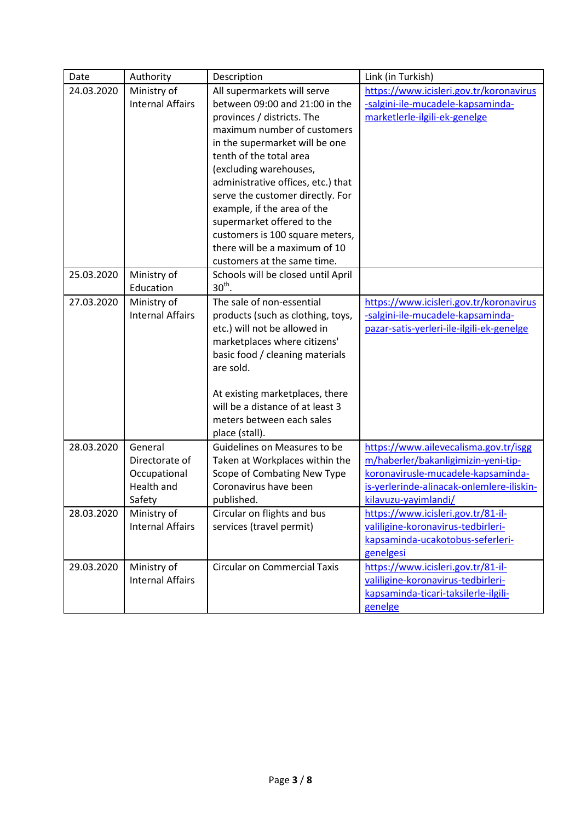| Date       | Authority                                                         | Description                                                                                                                                                                                                                                                                                                                                                                                                                                                 | Link (in Turkish)                                                                                                                                                                       |
|------------|-------------------------------------------------------------------|-------------------------------------------------------------------------------------------------------------------------------------------------------------------------------------------------------------------------------------------------------------------------------------------------------------------------------------------------------------------------------------------------------------------------------------------------------------|-----------------------------------------------------------------------------------------------------------------------------------------------------------------------------------------|
| 24.03.2020 | Ministry of<br><b>Internal Affairs</b>                            | All supermarkets will serve<br>between 09:00 and 21:00 in the<br>provinces / districts. The<br>maximum number of customers<br>in the supermarket will be one<br>tenth of the total area<br>(excluding warehouses,<br>administrative offices, etc.) that<br>serve the customer directly. For<br>example, if the area of the<br>supermarket offered to the<br>customers is 100 square meters,<br>there will be a maximum of 10<br>customers at the same time. | https://www.icisleri.gov.tr/koronavirus<br>-salgini-ile-mucadele-kapsaminda-<br>marketlerle-ilgili-ek-genelge                                                                           |
| 25.03.2020 | Ministry of<br>Education                                          | Schools will be closed until April<br>$30th$ .                                                                                                                                                                                                                                                                                                                                                                                                              |                                                                                                                                                                                         |
| 27.03.2020 | Ministry of<br><b>Internal Affairs</b>                            | The sale of non-essential<br>products (such as clothing, toys,<br>etc.) will not be allowed in<br>marketplaces where citizens'<br>basic food / cleaning materials<br>are sold.<br>At existing marketplaces, there<br>will be a distance of at least 3<br>meters between each sales<br>place (stall).                                                                                                                                                        | https://www.icisleri.gov.tr/koronavirus<br>-salgini-ile-mucadele-kapsaminda-<br>pazar-satis-yerleri-ile-ilgili-ek-genelge                                                               |
| 28.03.2020 | General<br>Directorate of<br>Occupational<br>Health and<br>Safety | Guidelines on Measures to be<br>Taken at Workplaces within the<br>Scope of Combating New Type<br>Coronavirus have been<br>published.                                                                                                                                                                                                                                                                                                                        | https://www.ailevecalisma.gov.tr/isgg<br>m/haberler/bakanligimizin-yeni-tip-<br>koronavirusle-mucadele-kapsaminda-<br>is-yerlerinde-alinacak-onlemlere-iliskin-<br>kilavuzu-yayimlandi/ |
| 28.03.2020 | Ministry of<br><b>Internal Affairs</b>                            | Circular on flights and bus<br>services (travel permit)                                                                                                                                                                                                                                                                                                                                                                                                     | https://www.icisleri.gov.tr/81-il-<br>valiligine-koronavirus-tedbirleri-<br>kapsaminda-ucakotobus-seferleri-<br>genelgesi                                                               |
| 29.03.2020 | Ministry of<br><b>Internal Affairs</b>                            | <b>Circular on Commercial Taxis</b>                                                                                                                                                                                                                                                                                                                                                                                                                         | https://www.icisleri.gov.tr/81-il-<br>valiligine-koronavirus-tedbirleri-<br>kapsaminda-ticari-taksilerle-ilgili-<br>genelge                                                             |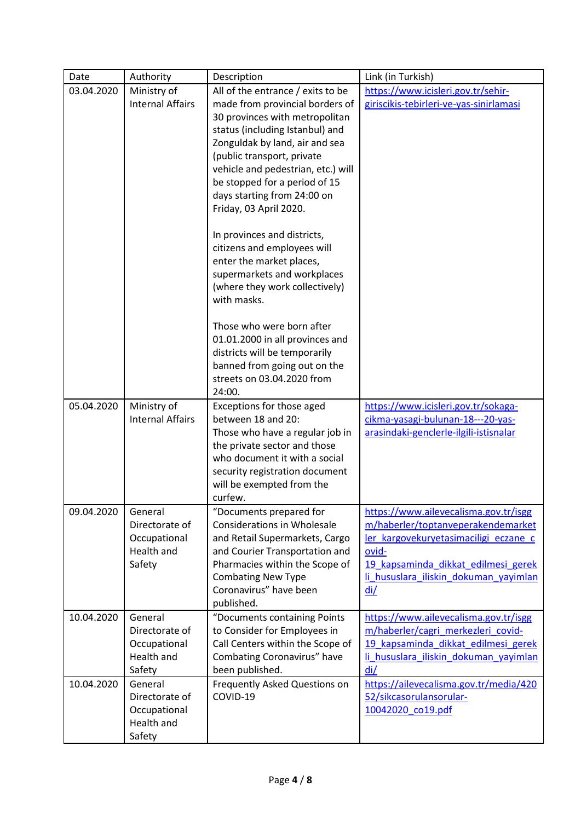| Date       | Authority                                                         | Description                                                                                                                                                                                                                                                                                                                               | Link (in Turkish)                                                                                                                                                                                                    |
|------------|-------------------------------------------------------------------|-------------------------------------------------------------------------------------------------------------------------------------------------------------------------------------------------------------------------------------------------------------------------------------------------------------------------------------------|----------------------------------------------------------------------------------------------------------------------------------------------------------------------------------------------------------------------|
| 03.04.2020 | Ministry of<br><b>Internal Affairs</b>                            | All of the entrance / exits to be<br>made from provincial borders of<br>30 provinces with metropolitan<br>status (including Istanbul) and<br>Zonguldak by land, air and sea<br>(public transport, private<br>vehicle and pedestrian, etc.) will<br>be stopped for a period of 15<br>days starting from 24:00 on<br>Friday, 03 April 2020. | https://www.icisleri.gov.tr/sehir-<br>giriscikis-tebirleri-ve-yas-sinirlamasi                                                                                                                                        |
|            |                                                                   | In provinces and districts,<br>citizens and employees will<br>enter the market places,<br>supermarkets and workplaces<br>(where they work collectively)<br>with masks.                                                                                                                                                                    |                                                                                                                                                                                                                      |
|            |                                                                   | Those who were born after<br>01.01.2000 in all provinces and<br>districts will be temporarily<br>banned from going out on the<br>streets on 03.04.2020 from<br>24:00.                                                                                                                                                                     |                                                                                                                                                                                                                      |
| 05.04.2020 | Ministry of<br><b>Internal Affairs</b>                            | Exceptions for those aged<br>between 18 and 20:<br>Those who have a regular job in<br>the private sector and those<br>who document it with a social<br>security registration document<br>will be exempted from the<br>curfew.                                                                                                             | https://www.icisleri.gov.tr/sokaga-<br>cikma-yasagi-bulunan-18---20-yas-<br>arasindaki-genclerle-ilgili-istisnalar                                                                                                   |
| 09.04.2020 | General<br>Directorate of<br>Occupational<br>Health and<br>Safety | "Documents prepared for<br><b>Considerations in Wholesale</b><br>and Retail Supermarkets, Cargo<br>and Courier Transportation and<br>Pharmacies within the Scope of<br><b>Combating New Type</b><br>Coronavirus" have been<br>published.                                                                                                  | https://www.ailevecalisma.gov.tr/isgg<br>m/haberler/toptanveperakendemarket<br>ler kargovekuryetasimaciligi eczane c<br>ovid-<br>19 kapsaminda dikkat edilmesi gerek<br>li hususlara iliskin dokuman yayimlan<br>di/ |
| 10.04.2020 | General<br>Directorate of<br>Occupational<br>Health and<br>Safety | "Documents containing Points<br>to Consider for Employees in<br>Call Centers within the Scope of<br>Combating Coronavirus" have<br>been published.                                                                                                                                                                                        | https://www.ailevecalisma.gov.tr/isgg<br>m/haberler/cagri merkezleri covid-<br>19 kapsaminda dikkat edilmesi gerek<br>li hususlara iliskin dokuman yayimlan<br>di/                                                   |
| 10.04.2020 | General<br>Directorate of<br>Occupational<br>Health and<br>Safety | Frequently Asked Questions on<br>COVID-19                                                                                                                                                                                                                                                                                                 | https://ailevecalisma.gov.tr/media/420<br>52/sikcasorulansorular-<br>10042020_co19.pdf                                                                                                                               |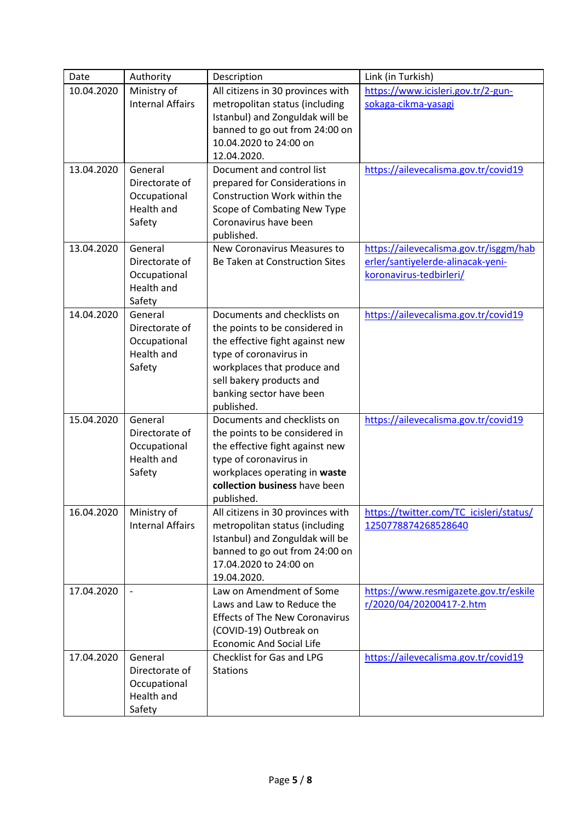| Date       | Authority                                                                | Description                                                                                                                                                                                                                     | Link (in Turkish)                                                                                      |
|------------|--------------------------------------------------------------------------|---------------------------------------------------------------------------------------------------------------------------------------------------------------------------------------------------------------------------------|--------------------------------------------------------------------------------------------------------|
| 10.04.2020 | Ministry of<br><b>Internal Affairs</b>                                   | All citizens in 30 provinces with<br>metropolitan status (including<br>Istanbul) and Zonguldak will be<br>banned to go out from 24:00 on<br>10.04.2020 to 24:00 on<br>12.04.2020.                                               | https://www.icisleri.gov.tr/2-gun-<br>sokaga-cikma-yasagi                                              |
| 13.04.2020 | General<br>Directorate of<br>Occupational<br><b>Health and</b><br>Safety | Document and control list<br>prepared for Considerations in<br>Construction Work within the<br>Scope of Combating New Type<br>Coronavirus have been<br>published.                                                               | https://ailevecalisma.gov.tr/covid19                                                                   |
| 13.04.2020 | General<br>Directorate of<br>Occupational<br>Health and<br>Safety        | New Coronavirus Measures to<br>Be Taken at Construction Sites                                                                                                                                                                   | https://ailevecalisma.gov.tr/isggm/hab<br>erler/santiyelerde-alinacak-yeni-<br>koronavirus-tedbirleri/ |
| 14.04.2020 | General<br>Directorate of<br>Occupational<br>Health and<br>Safety        | Documents and checklists on<br>the points to be considered in<br>the effective fight against new<br>type of coronavirus in<br>workplaces that produce and<br>sell bakery products and<br>banking sector have been<br>published. | https://ailevecalisma.gov.tr/covid19                                                                   |
| 15.04.2020 | General<br>Directorate of<br>Occupational<br>Health and<br>Safety        | Documents and checklists on<br>the points to be considered in<br>the effective fight against new<br>type of coronavirus in<br>workplaces operating in waste<br>collection business have been<br>published.                      | https://ailevecalisma.gov.tr/covid19                                                                   |
| 16.04.2020 | Ministry of<br><b>Internal Affairs</b>                                   | All citizens in 30 provinces with<br>metropolitan status (including<br>Istanbul) and Zonguldak will be<br>banned to go out from 24:00 on<br>17.04.2020 to 24:00 on<br>19.04.2020.                                               | https://twitter.com/TC_icisleri/status/<br>1250778874268528640                                         |
| 17.04.2020 |                                                                          | Law on Amendment of Some<br>Laws and Law to Reduce the<br><b>Effects of The New Coronavirus</b><br>(COVID-19) Outbreak on<br><b>Economic And Social Life</b>                                                                    | https://www.resmigazete.gov.tr/eskile<br>r/2020/04/20200417-2.htm                                      |
| 17.04.2020 | General<br>Directorate of<br>Occupational<br>Health and<br>Safety        | Checklist for Gas and LPG<br><b>Stations</b>                                                                                                                                                                                    | https://ailevecalisma.gov.tr/covid19                                                                   |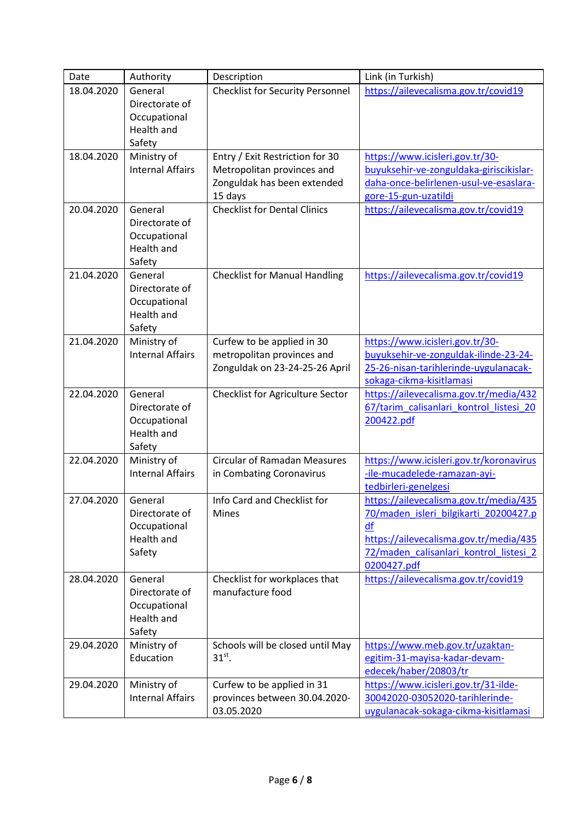| Date       | Authority                                                                | Description                                                                                             | Link (in Turkish)                                                                                                                                                                        |
|------------|--------------------------------------------------------------------------|---------------------------------------------------------------------------------------------------------|------------------------------------------------------------------------------------------------------------------------------------------------------------------------------------------|
| 18.04.2020 | General<br>Directorate of<br>Occupational<br>Health and<br>Safety        | <b>Checklist for Security Personnel</b>                                                                 | https://ailevecalisma.gov.tr/covid19                                                                                                                                                     |
| 18.04.2020 | Ministry of<br><b>Internal Affairs</b>                                   | Entry / Exit Restriction for 30<br>Metropolitan provinces and<br>Zonguldak has been extended<br>15 days | https://www.icisleri.gov.tr/30-<br>buyuksehir-ve-zonguldaka-giriscikislar-<br>daha-once-belirlenen-usul-ve-esaslara-<br>gore-15-gun-uzatildi                                             |
| 20.04.2020 | General<br>Directorate of<br>Occupational<br>Health and<br>Safety        | <b>Checklist for Dental Clinics</b>                                                                     | https://ailevecalisma.gov.tr/covid19                                                                                                                                                     |
| 21.04.2020 | General<br>Directorate of<br>Occupational<br>Health and<br>Safety        | <b>Checklist for Manual Handling</b>                                                                    | https://ailevecalisma.gov.tr/covid19                                                                                                                                                     |
| 21.04.2020 | Ministry of<br><b>Internal Affairs</b>                                   | Curfew to be applied in 30<br>metropolitan provinces and<br>Zonguldak on 23-24-25-26 April              | https://www.icisleri.gov.tr/30-<br>buyuksehir-ve-zonguldak-ilinde-23-24-<br>25-26-nisan-tarihlerinde-uygulanacak-<br>sokaga-cikma-kisitlamasi                                            |
| 22.04.2020 | General<br>Directorate of<br>Occupational<br>Health and<br>Safety        | Checklist for Agriculture Sector                                                                        | https://ailevecalisma.gov.tr/media/432<br>67/tarim calisanlari kontrol listesi 20<br>200422.pdf                                                                                          |
| 22.04.2020 | Ministry of<br><b>Internal Affairs</b>                                   | <b>Circular of Ramadan Measures</b><br>in Combating Coronavirus                                         | https://www.icisleri.gov.tr/koronavirus<br>-ile-mucadelede-ramazan-ayi-<br>tedbirleri-genelgesi                                                                                          |
| 27.04.2020 | General<br>Directorate of<br>Occupational<br><b>Health and</b><br>Safety | Info Card and Checklist for<br>Mines                                                                    | https://ailevecalisma.gov.tr/media/435<br>70/maden isleri bilgikarti 20200427.p<br>df<br>https://ailevecalisma.gov.tr/media/435<br>72/maden calisanlari kontrol listesi 2<br>0200427.pdf |
| 28.04.2020 | General<br>Directorate of<br>Occupational<br>Health and<br>Safety        | Checklist for workplaces that<br>manufacture food                                                       | https://ailevecalisma.gov.tr/covid19                                                                                                                                                     |
| 29.04.2020 | Ministry of<br>Education                                                 | Schools will be closed until May<br>$31st$ .                                                            | https://www.meb.gov.tr/uzaktan-<br>egitim-31-mayisa-kadar-devam-<br>edecek/haber/20803/tr                                                                                                |
| 29.04.2020 | Ministry of<br><b>Internal Affairs</b>                                   | Curfew to be applied in 31<br>provinces between 30.04.2020-<br>03.05.2020                               | https://www.icisleri.gov.tr/31-ilde-<br>30042020-03052020-tarihlerinde-<br>uygulanacak-sokaga-cikma-kisitlamasi                                                                          |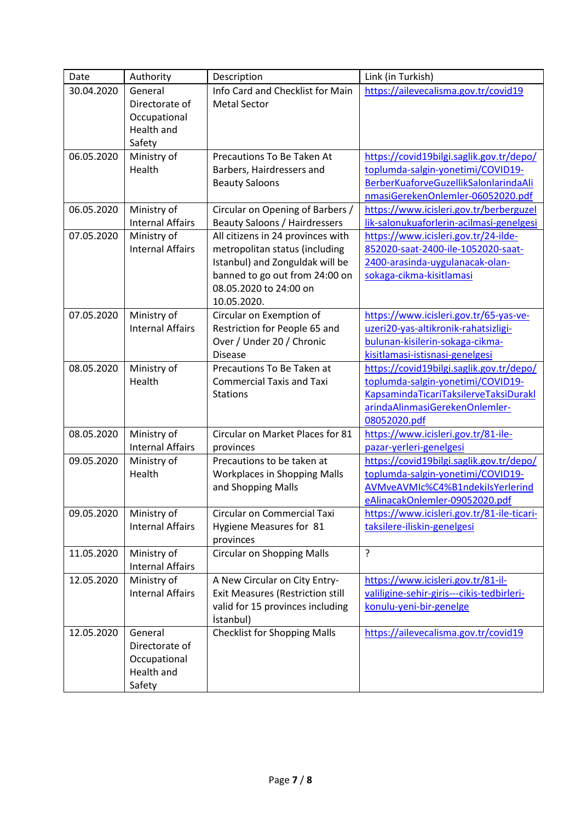| Date       | Authority                              | Description                                                       | Link (in Turkish)                                                     |
|------------|----------------------------------------|-------------------------------------------------------------------|-----------------------------------------------------------------------|
| 30.04.2020 | General                                | Info Card and Checklist for Main                                  | https://ailevecalisma.gov.tr/covid19                                  |
|            | Directorate of                         | <b>Metal Sector</b>                                               |                                                                       |
|            | Occupational                           |                                                                   |                                                                       |
|            | Health and                             |                                                                   |                                                                       |
|            | Safety                                 |                                                                   |                                                                       |
| 06.05.2020 | Ministry of                            | Precautions To Be Taken At                                        | https://covid19bilgi.saglik.gov.tr/depo/                              |
|            | Health                                 | Barbers, Hairdressers and                                         | toplumda-salgin-yonetimi/COVID19-                                     |
|            |                                        | <b>Beauty Saloons</b>                                             | BerberKuaforveGuzellikSalonlarindaAli                                 |
|            |                                        |                                                                   | nmasiGerekenOnlemler-06052020.pdf                                     |
| 06.05.2020 | Ministry of                            | Circular on Opening of Barbers /                                  | https://www.icisleri.gov.tr/berberguzel                               |
|            | <b>Internal Affairs</b>                | <b>Beauty Saloons / Hairdressers</b>                              | lik-salonukuaforlerin-acilmasi-genelgesi                              |
| 07.05.2020 | Ministry of                            | All citizens in 24 provinces with                                 | https://www.icisleri.gov.tr/24-ilde-                                  |
|            | <b>Internal Affairs</b>                | metropolitan status (including<br>Istanbul) and Zonguldak will be | 852020-saat-2400-ile-1052020-saat-<br>2400-arasinda-uygulanacak-olan- |
|            |                                        | banned to go out from 24:00 on                                    | sokaga-cikma-kisitlamasi                                              |
|            |                                        | 08.05.2020 to 24:00 on                                            |                                                                       |
|            |                                        | 10.05.2020.                                                       |                                                                       |
| 07.05.2020 | Ministry of                            | Circular on Exemption of                                          | https://www.icisleri.gov.tr/65-yas-ve-                                |
|            | <b>Internal Affairs</b>                | Restriction for People 65 and                                     | uzeri20-yas-altikronik-rahatsizligi-                                  |
|            |                                        | Over / Under 20 / Chronic                                         | bulunan-kisilerin-sokaga-cikma-                                       |
|            |                                        | <b>Disease</b>                                                    | kisitlamasi-istisnasi-genelgesi                                       |
| 08.05.2020 | Ministry of                            | Precautions To Be Taken at                                        | https://covid19bilgi.saglik.gov.tr/depo/                              |
|            | Health                                 | <b>Commercial Taxis and Taxi</b>                                  | toplumda-salgin-yonetimi/COVID19-                                     |
|            |                                        | <b>Stations</b>                                                   | KapsamindaTicariTaksilerveTaksiDurakl                                 |
|            |                                        |                                                                   | arindaAlinmasiGerekenOnlemler-                                        |
|            |                                        |                                                                   | 08052020.pdf                                                          |
| 08.05.2020 | Ministry of                            | Circular on Market Places for 81                                  | https://www.icisleri.gov.tr/81-ile-                                   |
|            | <b>Internal Affairs</b>                | provinces                                                         | pazar-yerleri-genelgesi                                               |
| 09.05.2020 | Ministry of                            | Precautions to be taken at                                        | https://covid19bilgi.saglik.gov.tr/depo/                              |
|            | Health                                 | <b>Workplaces in Shopping Malls</b>                               | toplumda-salgin-yonetimi/COVID19-                                     |
|            |                                        | and Shopping Malls                                                | AVMveAVMIc%C4%B1ndekiIsYerlerind                                      |
|            |                                        |                                                                   | eAlinacakOnlemler-09052020.pdf                                        |
| 09.05.2020 | Ministry of                            | Circular on Commercial Taxi                                       | https://www.icisleri.gov.tr/81-ile-ticari-                            |
|            | <b>Internal Affairs</b>                | Hygiene Measures for 81                                           | taksilere-iliskin-genelgesi                                           |
|            |                                        | provinces                                                         |                                                                       |
| 11.05.2020 | Ministry of<br><b>Internal Affairs</b> | <b>Circular on Shopping Malls</b>                                 | ?                                                                     |
| 12.05.2020 | Ministry of                            | A New Circular on City Entry-                                     | https://www.icisleri.gov.tr/81-il-                                    |
|            | <b>Internal Affairs</b>                | <b>Exit Measures (Restriction still</b>                           | valiligine-sehir-giris---cikis-tedbirleri-                            |
|            |                                        | valid for 15 provinces including                                  | konulu-yeni-bir-genelge                                               |
|            |                                        | <i>istanbul)</i>                                                  |                                                                       |
| 12.05.2020 | General                                | <b>Checklist for Shopping Malls</b>                               | https://ailevecalisma.gov.tr/covid19                                  |
|            | Directorate of                         |                                                                   |                                                                       |
|            | Occupational                           |                                                                   |                                                                       |
|            | Health and                             |                                                                   |                                                                       |
|            | Safety                                 |                                                                   |                                                                       |